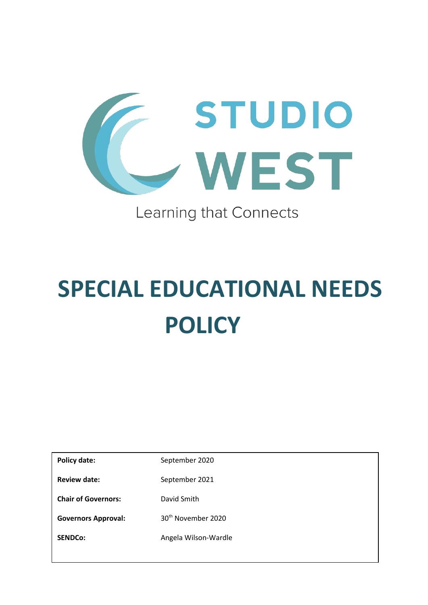

# Learning that Connects

# **SPECIAL EDUCATIONAL NEEDS POLICY**

**Policy date:** September 2020 **Review date:** September 2021 **Chair of Governors:** David Smith Governors Approval: 30<sup>th</sup> November 2020

**SENDCo:** Angela Wilson-Wardle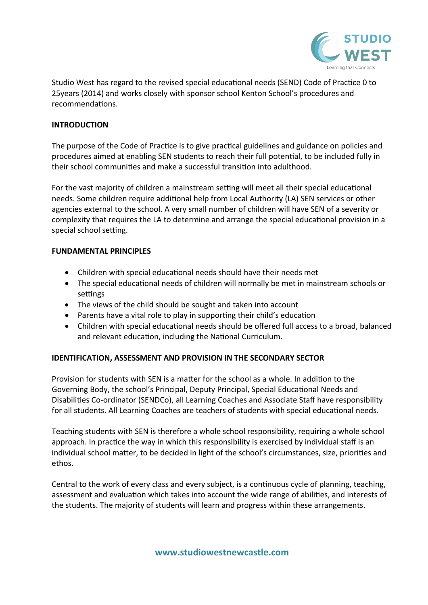

Studio West has regard to the revised special educational needs (SEND) Code of Practice 0 to 25years (2014) and works closely with sponsor school Kenton School's procedures and recommendations.

#### **INTRODUCTION**

The purpose of the Code of Practice is to give practical guidelines and guidance on policies and procedures aimed at enabling SEN students to reach their full potential, to be included fully in their school communities and make a successful transition into adulthood.

For the vast majority of children a mainstream setting will meet all their special educational needs. Some children require additional help from Local Authority (LA) SEN services or other agencies external to the school. A very small number of children will have SEN of a severity or complexity that requires the LA to determine and arrange the special educational provision in a special school setting.

#### **FUNDAMENTAL PRINCIPLES**

- Children with special educational needs should have their needs met
- The special educational needs of children will normally be met in mainstream schools or settings
- The views of the child should be sought and taken into account
- Parents have a vital role to play in supporting their child's education
- Children with special educational needs should be offered full access to a broad, balanced and relevant education, including the National Curriculum.

# **IDENTIFICATION, ASSESSMENT AND PROVISION IN THE SECONDARY SECTOR**

Provision for students with SEN is a matter for the school as a whole. In addition to the Governing Body, the school's Principal, Deputy Principal, Special Educational Needs and Disabilities Co-ordinator (SENDCo), all Learning Coaches and Associate Staff have responsibility for all students. All Learning Coaches are teachers of students with special educational needs.

Teaching students with SEN is therefore a whole school responsibility, requiring a whole school approach. In practice the way in which this responsibility is exercised by individual staff is an individual school matter, to be decided in light of the school's circumstances, size, priorities and ethos.

Central to the work of every class and every subject, is a continuous cycle of planning, teaching, assessment and evaluation which takes into account the wide range of abilities, and interests of the students. The majority of students will learn and progress within these arrangements.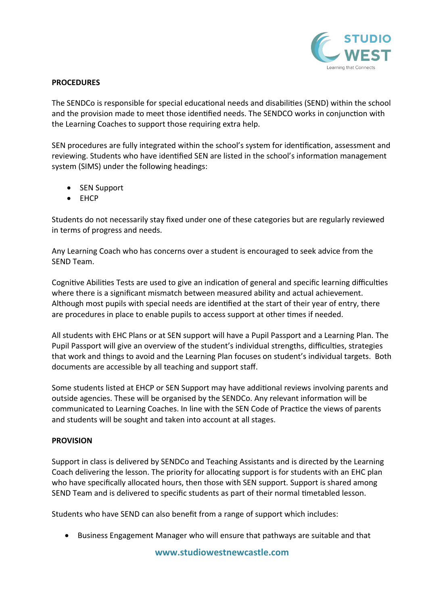

#### **PROCEDURES**

The SENDCo is responsible for special educational needs and disabilities (SEND) within the school and the provision made to meet those identified needs. The SENDCO works in conjunction with the Learning Coaches to support those requiring extra help.

SEN procedures are fully integrated within the school's system for identification, assessment and reviewing. Students who have identified SEN are listed in the school's information management system (SIMS) under the following headings:

- SEN Support
- EHCP

Students do not necessarily stay fixed under one of these categories but are regularly reviewed in terms of progress and needs.

Any Learning Coach who has concerns over a student is encouraged to seek advice from the SEND Team.

Cognitive Abilities Tests are used to give an indication of general and specific learning difficulties where there is a significant mismatch between measured ability and actual achievement. Although most pupils with special needs are identified at the start of their year of entry, there are procedures in place to enable pupils to access support at other times if needed.

All students with EHC Plans or at SEN support will have a Pupil Passport and a Learning Plan. The Pupil Passport will give an overview of the student's individual strengths, difficulties, strategies that work and things to avoid and the Learning Plan focuses on student's individual targets. Both documents are accessible by all teaching and support staff.

Some students listed at EHCP or SEN Support may have additional reviews involving parents and outside agencies. These will be organised by the SENDCo. Any relevant information will be communicated to Learning Coaches. In line with the SEN Code of Practice the views of parents and students will be sought and taken into account at all stages.

# **PROVISION**

Support in class is delivered by SENDCo and Teaching Assistants and is directed by the Learning Coach delivering the lesson. The priority for allocating support is for students with an EHC plan who have specifically allocated hours, then those with SEN support. Support is shared among SEND Team and is delivered to specific students as part of their normal timetabled lesson.

Students who have SEND can also benefit from a range of support which includes:

Business Engagement Manager who will ensure that pathways are suitable and that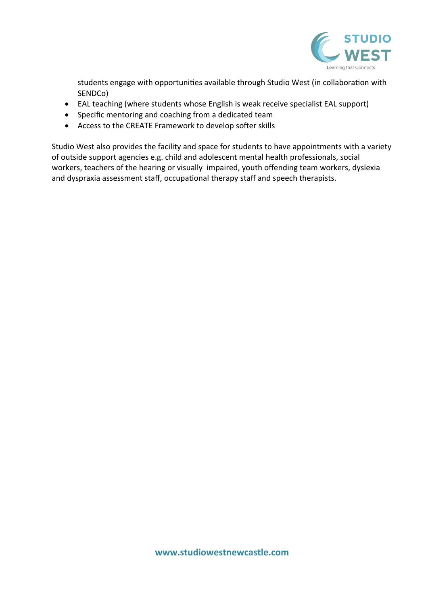

students engage with opportunities available through Studio West (in collaboration with SENDCo)

- EAL teaching (where students whose English is weak receive specialist EAL support)
- Specific mentoring and coaching from a dedicated team
- Access to the CREATE Framework to develop softer skills

Studio West also provides the facility and space for students to have appointments with a variety of outside support agencies e.g. child and adolescent mental health professionals, social workers, teachers of the hearing or visually impaired, youth offending team workers, dyslexia and dyspraxia assessment staff, occupational therapy staff and speech therapists.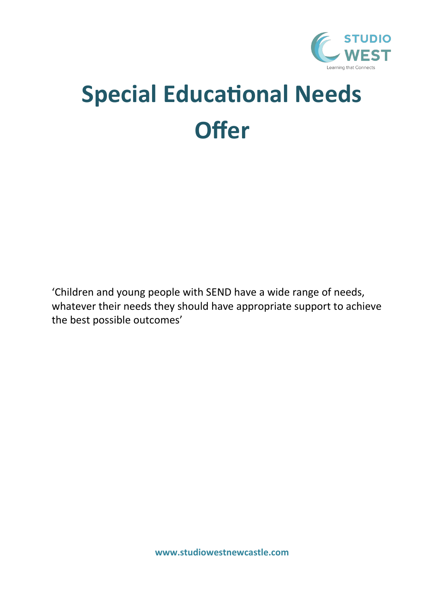

# **Special Educational Needs Offer**

'Children and young people with SEND have a wide range of needs, whatever their needs they should have appropriate support to achieve the best possible outcomes'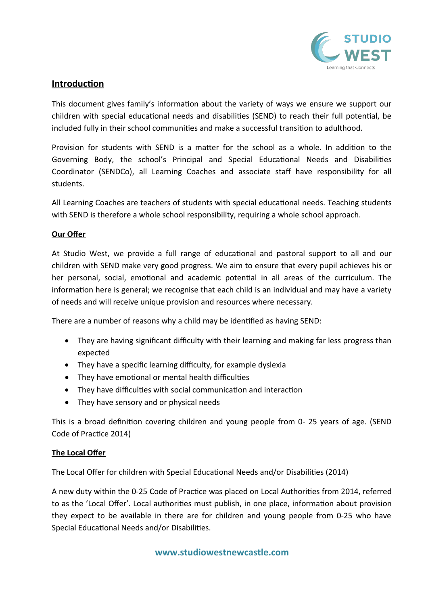

# **Introduction**

This document gives family's information about the variety of ways we ensure we support our children with special educational needs and disabilities (SEND) to reach their full potential, be included fully in their school communities and make a successful transition to adulthood.

Provision for students with SEND is a matter for the school as a whole. In addition to the Governing Body, the school's Principal and Special Educational Needs and Disabilities Coordinator (SENDCo), all Learning Coaches and associate staff have responsibility for all students.

All Learning Coaches are teachers of students with special educational needs. Teaching students with SEND is therefore a whole school responsibility, requiring a whole school approach.

#### **Our Offer**

At Studio West, we provide a full range of educational and pastoral support to all and our children with SEND make very good progress. We aim to ensure that every pupil achieves his or her personal, social, emotional and academic potential in all areas of the curriculum. The information here is general; we recognise that each child is an individual and may have a variety of needs and will receive unique provision and resources where necessary.

There are a number of reasons why a child may be identified as having SEND:

- They are having significant difficulty with their learning and making far less progress than expected
- They have a specific learning difficulty, for example dyslexia
- They have emotional or mental health difficulties
- They have difficulties with social communication and interaction
- They have sensory and or physical needs

This is a broad definition covering children and young people from 0- 25 years of age. (SEND Code of Practice 2014)

# **The Local Offer**

The Local Offer for children with Special Educational Needs and/or Disabilities (2014)

A new duty within the 0-25 Code of Practice was placed on Local Authorities from 2014, referred to as the 'Local Offer'. Local authorities must publish, in one place, information about provision they expect to be available in there are for children and young people from 0-25 who have Special Educational Needs and/or Disabilities.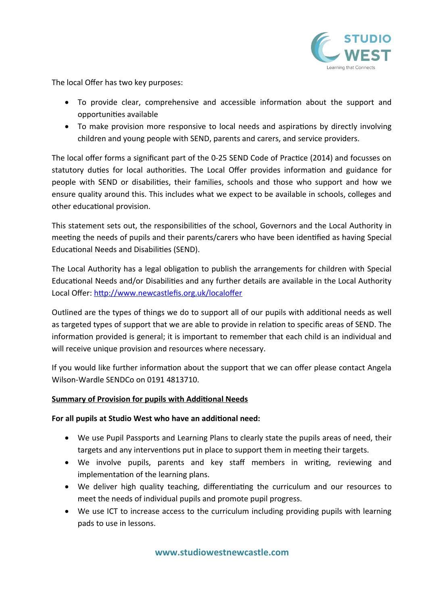

The local Offer has two key purposes:

- To provide clear, comprehensive and accessible information about the support and opportunities available
- To make provision more responsive to local needs and aspirations by directly involving children and young people with SEND, parents and carers, and service providers.

The local offer forms a significant part of the 0-25 SEND Code of Practice (2014) and focusses on statutory duties for local authorities. The Local Offer provides information and guidance for people with SEND or disabilities, their families, schools and those who support and how we ensure quality around this. This includes what we expect to be available in schools, colleges and other educational provision.

This statement sets out, the responsibilities of the school, Governors and the Local Authority in meeting the needs of pupils and their parents/carers who have been identified as having Special Educational Needs and Disabilities (SEND).

The Local Authority has a legal obligation to publish the arrangements for children with Special Educational Needs and/or Disabilities and any further details are available in the Local Authority Local Offer: <http://www.newcastlefis.org.uk/localoffer>

Outlined are the types of things we do to support all of our pupils with additional needs as well as targeted types of support that we are able to provide in relation to specific areas of SEND. The information provided is general; it is important to remember that each child is an individual and will receive unique provision and resources where necessary.

If you would like further information about the support that we can offer please contact Angela Wilson-Wardle SENDCo on 0191 4813710.

# **Summary of Provision for pupils with Additional Needs**

# **For all pupils at Studio West who have an additional need:**

- We use Pupil Passports and Learning Plans to clearly state the pupils areas of need, their targets and any interventions put in place to support them in meeting their targets.
- We involve pupils, parents and key staff members in writing, reviewing and implementation of the learning plans.
- We deliver high quality teaching, differentiating the curriculum and our resources to meet the needs of individual pupils and promote pupil progress.
- We use ICT to increase access to the curriculum including providing pupils with learning pads to use in lessons.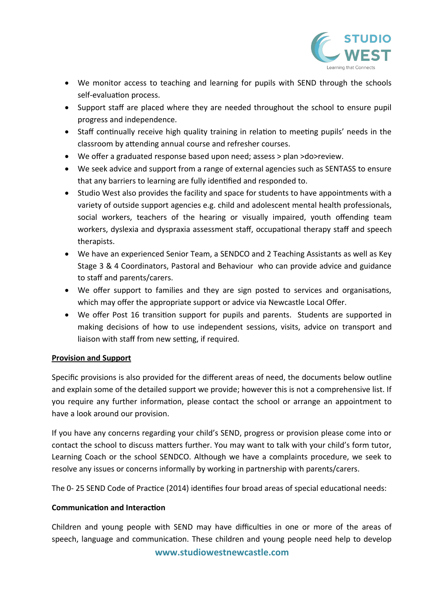

- We monitor access to teaching and learning for pupils with SEND through the schools self-evaluation process.
- Support staff are placed where they are needed throughout the school to ensure pupil progress and independence.
- Staff continually receive high quality training in relation to meeting pupils' needs in the classroom by attending annual course and refresher courses.
- We offer a graduated response based upon need; assess > plan >do>review.
- We seek advice and support from a range of external agencies such as SENTASS to ensure that any barriers to learning are fully identified and responded to.
- Studio West also provides the facility and space for students to have appointments with a variety of outside support agencies e.g. child and adolescent mental health professionals, social workers, teachers of the hearing or visually impaired, youth offending team workers, dyslexia and dyspraxia assessment staff, occupational therapy staff and speech therapists.
- We have an experienced Senior Team, a SENDCO and 2 Teaching Assistants as well as Key Stage 3 & 4 Coordinators, Pastoral and Behaviour who can provide advice and guidance to staff and parents/carers.
- We offer support to families and they are sign posted to services and organisations, which may offer the appropriate support or advice via Newcastle Local Offer.
- We offer Post 16 transition support for pupils and parents. Students are supported in making decisions of how to use independent sessions, visits, advice on transport and liaison with staff from new setting, if required.

# **Provision and Support**

Specific provisions is also provided for the different areas of need, the documents below outline and explain some of the detailed support we provide; however this is not a comprehensive list. If you require any further information, please contact the school or arrange an appointment to have a look around our provision.

If you have any concerns regarding your child's SEND, progress or provision please come into or contact the school to discuss matters further. You may want to talk with your child's form tutor, Learning Coach or the school SENDCO. Although we have a complaints procedure, we seek to resolve any issues or concerns informally by working in partnership with parents/carers.

The 0- 25 SEND Code of Practice (2014) identifies four broad areas of special educational needs:

# **Communication and Interaction**

Children and young people with SEND may have difficulties in one or more of the areas of speech, language and communication. These children and young people need help to develop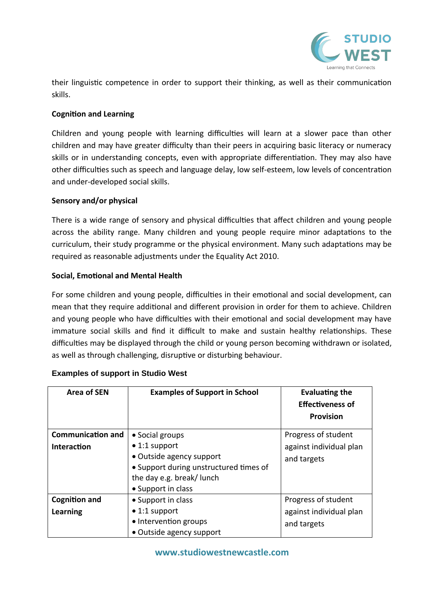

their linguistic competence in order to support their thinking, as well as their communication skills.

# **Cognition and Learning**

Children and young people with learning difficulties will learn at a slower pace than other children and may have greater difficulty than their peers in acquiring basic literacy or numeracy skills or in understanding concepts, even with appropriate differentiation. They may also have other difficulties such as speech and language delay, low self-esteem, low levels of concentration and under-developed social skills.

# **Sensory and/or physical**

There is a wide range of sensory and physical difficulties that affect children and young people across the ability range. Many children and young people require minor adaptations to the curriculum, their study programme or the physical environment. Many such adaptations may be required as reasonable adjustments under the Equality Act 2010.

# **Social, Emotional and Mental Health**

For some children and young people, difficulties in their emotional and social development, can mean that they require additional and different provision in order for them to achieve. Children and young people who have difficulties with their emotional and social development may have immature social skills and find it difficult to make and sustain healthy relationships. These difficulties may be displayed through the child or young person becoming withdrawn or isolated, as well as through challenging, disruptive or disturbing behaviour.

| Area of SEN              | <b>Examples of Support in School</b>                                                                                                          | <b>Evaluating the</b><br><b>Effectiveness of</b><br><b>Provision</b> |
|--------------------------|-----------------------------------------------------------------------------------------------------------------------------------------------|----------------------------------------------------------------------|
| <b>Communication and</b> | • Social groups                                                                                                                               | Progress of student                                                  |
| Interaction              | $\bullet$ 1:1 support<br>• Outside agency support<br>• Support during unstructured times of<br>the day e.g. break/lunch<br>• Support in class | against individual plan<br>and targets                               |
| <b>Cognition and</b>     | • Support in class                                                                                                                            | Progress of student                                                  |
| Learning                 | $\bullet$ 1:1 support<br>• Intervention groups<br>• Outside agency support                                                                    | against individual plan<br>and targets                               |

# **Examples of support in Studio West**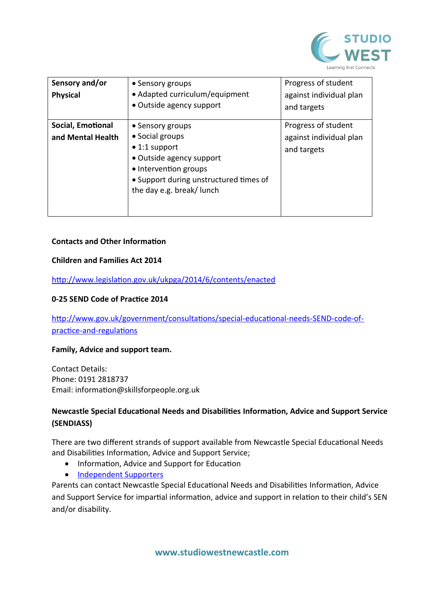

| Sensory and/or<br><b>Physical</b>      | • Sensory groups<br>• Adapted curriculum/equipment<br>• Outside agency support                                                                                                          | Progress of student<br>against individual plan<br>and targets |
|----------------------------------------|-----------------------------------------------------------------------------------------------------------------------------------------------------------------------------------------|---------------------------------------------------------------|
| Social, Emotional<br>and Mental Health | • Sensory groups<br>• Social groups<br>$\bullet$ 1:1 support<br>• Outside agency support<br>• Intervention groups<br>• Support during unstructured times of<br>the day e.g. break/lunch | Progress of student<br>against individual plan<br>and targets |

#### **Contacts and Other Information**

#### **Children and Families Act 2014**

<http://www.legislation.gov.uk/ukpga/2014/6/contents/enacted>

#### **0-25 SEND Code of Practice 2014**

[http://www.gov.uk/government/consultations/special-educational-needs-SEND-code-of](http://www.gov.uk/government/consultations/special-educational-needs-sen-code-of-practice-and-regulations)[practice-and-regulations](http://www.gov.uk/government/consultations/special-educational-needs-sen-code-of-practice-and-regulations)

#### **Family, Advice and support team.**

Contact Details: Phone: 0191 2818737 Email: information@skillsforpeople.org.uk

# **Newcastle Special Educational Needs and Disabilities Information, Advice and Support Service (SENDIASS)**

There are two different strands of support available from Newcastle Special Educational Needs and Disabilities Information, Advice and Support Service;

- Information, Advice and Support for Education
- • [Independent Supporters](https://www.newcastlesupportdirectory.org.uk/kb5/newcastle/fsd/service.page?id=_lBl0jCFaOc)

Parents can contact Newcastle Special Educational Needs and Disabilities Information, Advice and Support Service for impartial information, advice and support in relation to their child's SEN and/or disability.